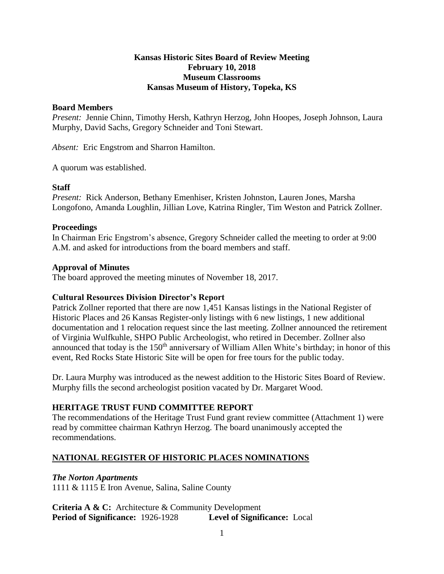#### **Kansas Historic Sites Board of Review Meeting February 10, 2018 Museum Classrooms Kansas Museum of History, Topeka, KS**

#### **Board Members**

*Present:* Jennie Chinn, Timothy Hersh, Kathryn Herzog, John Hoopes, Joseph Johnson, Laura Murphy, David Sachs, Gregory Schneider and Toni Stewart.

*Absent:* Eric Engstrom and Sharron Hamilton.

A quorum was established.

#### **Staff**

*Present:* Rick Anderson, Bethany Emenhiser, Kristen Johnston, Lauren Jones, Marsha Longofono, Amanda Loughlin, Jillian Love, Katrina Ringler, Tim Weston and Patrick Zollner.

#### **Proceedings**

In Chairman Eric Engstrom's absence, Gregory Schneider called the meeting to order at 9:00 A.M. and asked for introductions from the board members and staff.

#### **Approval of Minutes**

The board approved the meeting minutes of November 18, 2017.

# **Cultural Resources Division Director's Report**

Patrick Zollner reported that there are now 1,451 Kansas listings in the National Register of Historic Places and 26 Kansas Register-only listings with 6 new listings, 1 new additional documentation and 1 relocation request since the last meeting. Zollner announced the retirement of Virginia Wulfkuhle, SHPO Public Archeologist, who retired in December. Zollner also announced that today is the 150<sup>th</sup> anniversary of William Allen White's birthday; in honor of this event, Red Rocks State Historic Site will be open for free tours for the public today.

Dr. Laura Murphy was introduced as the newest addition to the Historic Sites Board of Review. Murphy fills the second archeologist position vacated by Dr. Margaret Wood.

# **HERITAGE TRUST FUND COMMITTEE REPORT**

The recommendations of the Heritage Trust Fund grant review committee (Attachment 1) were read by committee chairman Kathryn Herzog. The board unanimously accepted the recommendations.

# **NATIONAL REGISTER OF HISTORIC PLACES NOMINATIONS**

# *The Norton Apartments*

1111 & 1115 E Iron Avenue, Salina, Saline County

**Criteria A & C:** Architecture & Community Development **Period of Significance:** 1926-1928 **Level of Significance:** Local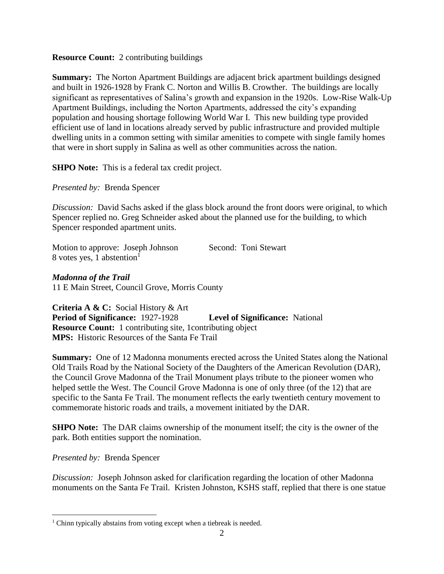#### **Resource Count:** 2 contributing buildings

**Summary:** The Norton Apartment Buildings are adjacent brick apartment buildings designed and built in 1926-1928 by Frank C. Norton and Willis B. Crowther. The buildings are locally significant as representatives of Salina's growth and expansion in the 1920s. Low-Rise Walk-Up Apartment Buildings, including the Norton Apartments, addressed the city's expanding population and housing shortage following World War I. This new building type provided efficient use of land in locations already served by public infrastructure and provided multiple dwelling units in a common setting with similar amenities to compete with single family homes that were in short supply in Salina as well as other communities across the nation.

**SHPO Note:** This is a federal tax credit project.

*Presented by:* Brenda Spencer

*Discussion:* David Sachs asked if the glass block around the front doors were original, to which Spencer replied no. Greg Schneider asked about the planned use for the building, to which Spencer responded apartment units.

Motion to approve: Joseph Johnson Second: Toni Stewart 8 votes yes, 1 abstention $1$ 

*Madonna of the Trail* 11 E Main Street, Council Grove, Morris County

**Criteria A & C:** Social History & Art **Period of Significance:** 1927-1928 **Level of Significance:** National **Resource Count:** 1 contributing site, 1contributing object **MPS:** Historic Resources of the Santa Fe Trail

**Summary:** One of 12 Madonna monuments erected across the United States along the National Old Trails Road by the National Society of the Daughters of the American Revolution (DAR), the Council Grove Madonna of the Trail Monument plays tribute to the pioneer women who helped settle the West. The Council Grove Madonna is one of only three (of the 12) that are specific to the Santa Fe Trail. The monument reflects the early twentieth century movement to commemorate historic roads and trails, a movement initiated by the DAR.

**SHPO Note:** The DAR claims ownership of the monument itself; the city is the owner of the park. Both entities support the nomination.

*Presented by:* Brenda Spencer

 $\overline{a}$ 

*Discussion:* Joseph Johnson asked for clarification regarding the location of other Madonna monuments on the Santa Fe Trail. Kristen Johnston, KSHS staff, replied that there is one statue

 $1$  Chinn typically abstains from voting except when a tiebreak is needed.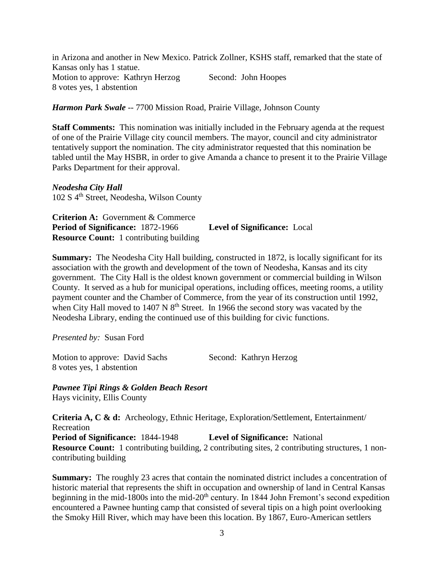in Arizona and another in New Mexico. Patrick Zollner, KSHS staff, remarked that the state of Kansas only has 1 statue. Motion to approve: Kathryn Herzog Second: John Hoopes 8 votes yes, 1 abstention

*Harmon Park Swale* -- 7700 Mission Road, Prairie Village, Johnson County

**Staff Comments:** This nomination was initially included in the February agenda at the request of one of the Prairie Village city council members. The mayor, council and city administrator tentatively support the nomination. The city administrator requested that this nomination be tabled until the May HSBR, in order to give Amanda a chance to present it to the Prairie Village Parks Department for their approval.

*Neodesha City Hall* 102 S 4th Street, Neodesha, Wilson County

**Criterion A:** Government & Commerce **Period of Significance:** 1872-1966 **Level of Significance:** Local **Resource Count:** 1 contributing building

**Summary:** The Neodesha City Hall building, constructed in 1872, is locally significant for its association with the growth and development of the town of Neodesha, Kansas and its city government. The City Hall is the oldest known government or commercial building in Wilson County. It served as a hub for municipal operations, including offices, meeting rooms, a utility payment counter and the Chamber of Commerce, from the year of its construction until 1992, when City Hall moved to 1407 N  $8<sup>th</sup>$  Street. In 1966 the second story was vacated by the Neodesha Library, ending the continued use of this building for civic functions.

*Presented by:* Susan Ford

Motion to approve: David Sachs Second: Kathryn Herzog 8 votes yes, 1 abstention

*Pawnee Tipi Rings & Golden Beach Resort* Hays vicinity, Ellis County

**Criteria A, C & d:** Archeology, Ethnic Heritage, Exploration/Settlement, Entertainment/ Recreation **Period of Significance:** 1844-1948 **Level of Significance:** National **Resource Count:** 1 contributing building, 2 contributing sites, 2 contributing structures, 1 noncontributing building

**Summary:** The roughly 23 acres that contain the nominated district includes a concentration of historic material that represents the shift in occupation and ownership of land in Central Kansas beginning in the mid-1800s into the mid-20<sup>th</sup> century. In 1844 John Fremont's second expedition encountered a Pawnee hunting camp that consisted of several tipis on a high point overlooking the Smoky Hill River, which may have been this location. By 1867, Euro-American settlers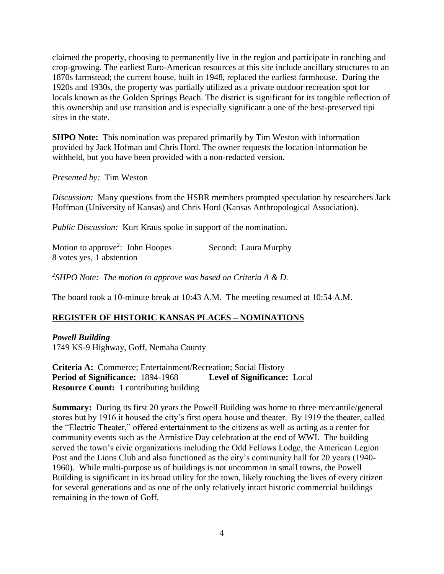claimed the property, choosing to permanently live in the region and participate in ranching and crop-growing. The earliest Euro-American resources at this site include ancillary structures to an 1870s farmstead; the current house, built in 1948, replaced the earliest farmhouse. During the 1920s and 1930s, the property was partially utilized as a private outdoor recreation spot for locals known as the Golden Springs Beach. The district is significant for its tangible reflection of this ownership and use transition and is especially significant a one of the best-preserved tipi sites in the state.

**SHPO Note:** This nomination was prepared primarily by Tim Weston with information provided by Jack Hofman and Chris Hord. The owner requests the location information be withheld, but you have been provided with a non-redacted version.

*Presented by:* Tim Weston

*Discussion:* Many questions from the HSBR members prompted speculation by researchers Jack Hoffman (University of Kansas) and Chris Hord (Kansas Anthropological Association).

*Public Discussion:* Kurt Kraus spoke in support of the nomination.

| Motion to approve <sup>2</sup> : John Hoopes | Second: Laura Murphy |
|----------------------------------------------|----------------------|
| 8 votes yes, 1 abstention                    |                      |

*2 SHPO Note: The motion to approve was based on Criteria A & D.*

The board took a 10-minute break at 10:43 A.M. The meeting resumed at 10:54 A.M.

# **REGISTER OF HISTORIC KANSAS PLACES – NOMINATIONS**

*Powell Building* 1749 KS-9 Highway, Goff, Nemaha County

**Criteria A:** Commerce; Entertainment/Recreation; Social History **Period of Significance:** 1894-1968 **Level of Significance:** Local **Resource Count:** 1 contributing building

**Summary:** During its first 20 years the Powell Building was home to three mercantile/general stores but by 1916 it housed the city's first opera house and theater. By 1919 the theater, called the "Electric Theater," offered entertainment to the citizens as well as acting as a center for community events such as the Armistice Day celebration at the end of WWI. The building served the town's civic organizations including the Odd Fellows Lodge, the American Legion Post and the Lions Club and also functioned as the city's community hall for 20 years (1940- 1960). While multi-purpose us of buildings is not uncommon in small towns, the Powell Building is significant in its broad utility for the town, likely touching the lives of every citizen for several generations and as one of the only relatively intact historic commercial buildings remaining in the town of Goff.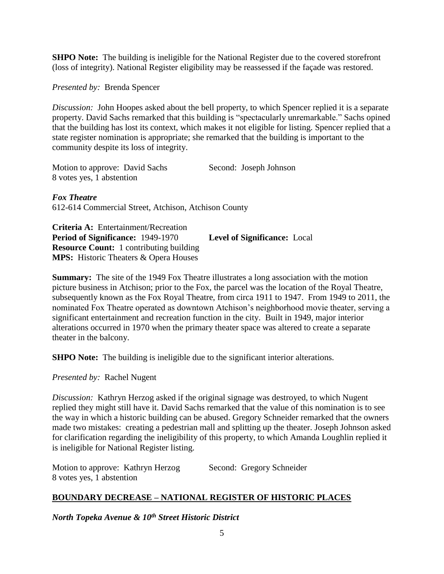**SHPO Note:** The building is ineligible for the National Register due to the covered storefront (loss of integrity). National Register eligibility may be reassessed if the façade was restored.

*Presented by:* Brenda Spencer

*Discussion:* John Hoopes asked about the bell property, to which Spencer replied it is a separate property. David Sachs remarked that this building is "spectacularly unremarkable." Sachs opined that the building has lost its context, which makes it not eligible for listing. Spencer replied that a state register nomination is appropriate; she remarked that the building is important to the community despite its loss of integrity.

Motion to approve: David Sachs Second: Joseph Johnson 8 votes yes, 1 abstention

*Fox Theatre* 612-614 Commercial Street, Atchison, Atchison County

**Criteria A:** Entertainment/Recreation **Period of Significance:** 1949-1970 **Level of Significance:** Local **Resource Count:** 1 contributing building **MPS:** Historic Theaters & Opera Houses

**Summary:** The site of the 1949 Fox Theatre illustrates a long association with the motion picture business in Atchison; prior to the Fox, the parcel was the location of the Royal Theatre, subsequently known as the Fox Royal Theatre, from circa 1911 to 1947. From 1949 to 2011, the nominated Fox Theatre operated as downtown Atchison's neighborhood movie theater, serving a significant entertainment and recreation function in the city. Built in 1949, major interior alterations occurred in 1970 when the primary theater space was altered to create a separate theater in the balcony.

**SHPO Note:** The building is ineligible due to the significant interior alterations.

*Presented by:* Rachel Nugent

*Discussion:* Kathryn Herzog asked if the original signage was destroyed, to which Nugent replied they might still have it. David Sachs remarked that the value of this nomination is to see the way in which a historic building can be abused. Gregory Schneider remarked that the owners made two mistakes: creating a pedestrian mall and splitting up the theater. Joseph Johnson asked for clarification regarding the ineligibility of this property, to which Amanda Loughlin replied it is ineligible for National Register listing.

| Motion to approve: Kathryn Herzog | Second: Gregory Schneider |
|-----------------------------------|---------------------------|
| 8 votes yes, 1 abstention         |                           |

# **BOUNDARY DECREASE – NATIONAL REGISTER OF HISTORIC PLACES**

*North Topeka Avenue & 10th Street Historic District*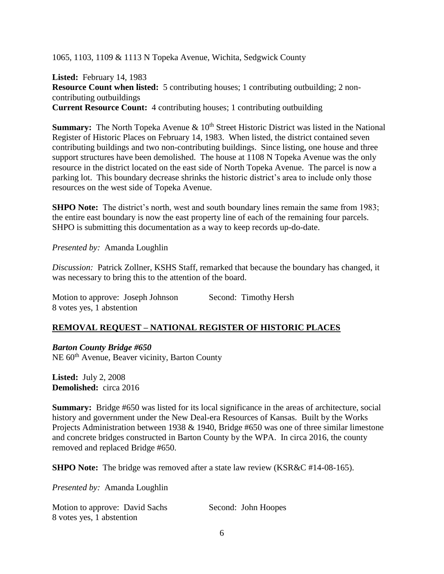1065, 1103, 1109 & 1113 N Topeka Avenue, Wichita, Sedgwick County

**Listed:** February 14, 1983 **Resource Count when listed:** 5 contributing houses; 1 contributing outbuilding; 2 noncontributing outbuildings **Current Resource Count:** 4 contributing houses; 1 contributing outbuilding

**Summary:** The North Topeka Avenue & 10<sup>th</sup> Street Historic District was listed in the National Register of Historic Places on February 14, 1983. When listed, the district contained seven contributing buildings and two non-contributing buildings. Since listing, one house and three support structures have been demolished. The house at 1108 N Topeka Avenue was the only resource in the district located on the east side of North Topeka Avenue. The parcel is now a parking lot. This boundary decrease shrinks the historic district's area to include only those resources on the west side of Topeka Avenue.

**SHPO Note:** The district's north, west and south boundary lines remain the same from 1983; the entire east boundary is now the east property line of each of the remaining four parcels. SHPO is submitting this documentation as a way to keep records up-do-date.

*Presented by:* Amanda Loughlin

*Discussion:* Patrick Zollner, KSHS Staff, remarked that because the boundary has changed, it was necessary to bring this to the attention of the board.

Motion to approve: Joseph Johnson Second: Timothy Hersh 8 votes yes, 1 abstention

# **REMOVAL REQUEST – NATIONAL REGISTER OF HISTORIC PLACES**

*Barton County Bridge #650*

NE 60<sup>th</sup> Avenue, Beaver vicinity, Barton County

**Listed:** July 2, 2008 **Demolished:** circa 2016

**Summary:** Bridge #650 was listed for its local significance in the areas of architecture, social history and government under the New Deal-era Resources of Kansas. Built by the Works Projects Administration between 1938 & 1940, Bridge #650 was one of three similar limestone and concrete bridges constructed in Barton County by the WPA. In circa 2016, the county removed and replaced Bridge #650.

**SHPO Note:** The bridge was removed after a state law review (KSR&C #14-08-165).

*Presented by:* Amanda Loughlin

| Motion to approve: David Sachs | Second: John Hoopes |
|--------------------------------|---------------------|
| 8 votes yes, 1 abstention      |                     |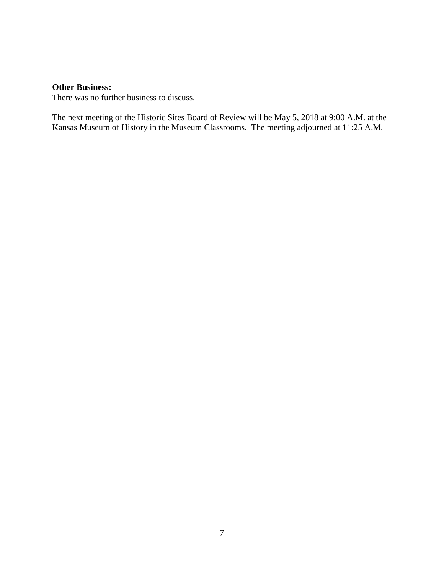#### **Other Business:**

There was no further business to discuss.

The next meeting of the Historic Sites Board of Review will be May 5, 2018 at 9:00 A.M. at the Kansas Museum of History in the Museum Classrooms. The meeting adjourned at 11:25 A.M.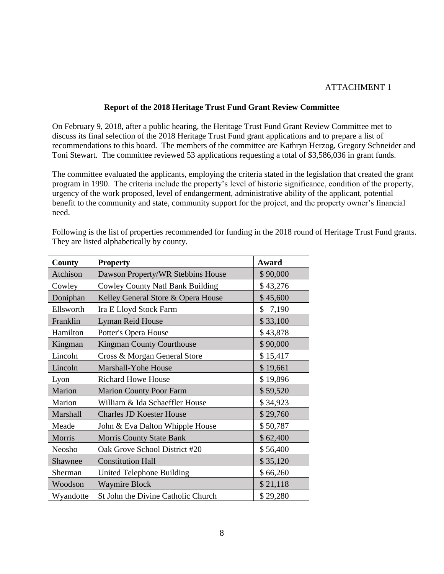# ATTACHMENT 1

#### **Report of the 2018 Heritage Trust Fund Grant Review Committee**

On February 9, 2018, after a public hearing, the Heritage Trust Fund Grant Review Committee met to discuss its final selection of the 2018 Heritage Trust Fund grant applications and to prepare a list of recommendations to this board. The members of the committee are Kathryn Herzog, Gregory Schneider and Toni Stewart. The committee reviewed 53 applications requesting a total of \$3,586,036 in grant funds.

The committee evaluated the applicants, employing the criteria stated in the legislation that created the grant program in 1990. The criteria include the property's level of historic significance, condition of the property, urgency of the work proposed, level of endangerment, administrative ability of the applicant, potential benefit to the community and state, community support for the project, and the property owner's financial need.

| County    | <b>Property</b>                         | Award       |
|-----------|-----------------------------------------|-------------|
| Atchison  | Dawson Property/WR Stebbins House       | \$90,000    |
| Cowley    | <b>Cowley County Natl Bank Building</b> | \$43,276    |
| Doniphan  | Kelley General Store & Opera House      | \$45,600    |
| Ellsworth | Ira E Lloyd Stock Farm                  | \$<br>7,190 |
| Franklin  | Lyman Reid House                        | \$33,100    |
| Hamilton  | Potter's Opera House                    | \$43,878    |
| Kingman   | <b>Kingman County Courthouse</b>        | \$90,000    |
| Lincoln   | Cross & Morgan General Store            | \$15,417    |
| Lincoln   | Marshall-Yohe House                     | \$19,661    |
| Lyon      | <b>Richard Howe House</b>               | \$19,896    |
| Marion    | <b>Marion County Poor Farm</b>          | \$59,520    |
| Marion    | William & Ida Schaeffler House          | \$34,923    |
| Marshall  | <b>Charles JD Koester House</b>         | \$29,760    |
| Meade     | John & Eva Dalton Whipple House         | \$50,787    |
| Morris    | <b>Morris County State Bank</b>         | \$62,400    |
| Neosho    | Oak Grove School District #20           | \$56,400    |
| Shawnee   | <b>Constitution Hall</b>                | \$35,120    |
| Sherman   | United Telephone Building               | \$66,260    |
| Woodson   | <b>Waymire Block</b>                    | \$21,118    |
| Wyandotte | St John the Divine Catholic Church      | \$29,280    |

Following is the list of properties recommended for funding in the 2018 round of Heritage Trust Fund grants. They are listed alphabetically by county.